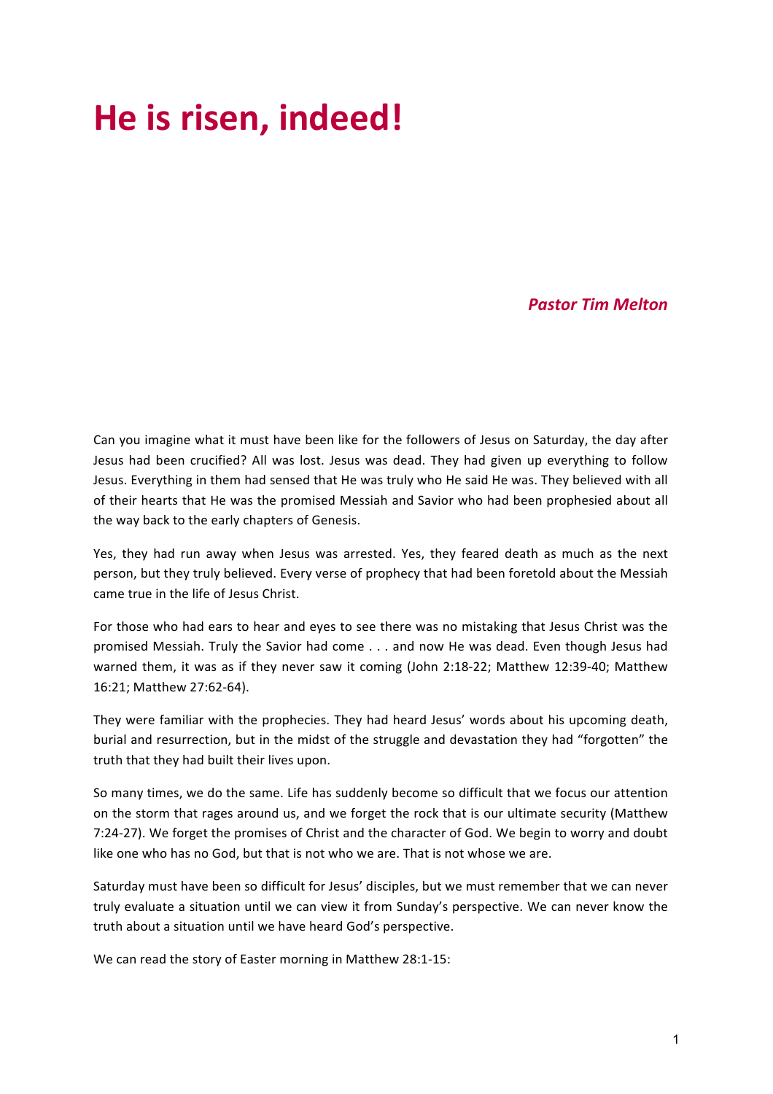# He is risen, indeed!

# *Pastor Tim Melton*

Can you imagine what it must have been like for the followers of Jesus on Saturday, the day after Jesus had been crucified? All was lost. Jesus was dead. They had given up everything to follow Jesus. Everything in them had sensed that He was truly who He said He was. They believed with all of their hearts that He was the promised Messiah and Savior who had been prophesied about all the way back to the early chapters of Genesis.

Yes, they had run away when Jesus was arrested. Yes, they feared death as much as the next person, but they truly believed. Every verse of prophecy that had been foretold about the Messiah came true in the life of Jesus Christ.

For those who had ears to hear and eyes to see there was no mistaking that Jesus Christ was the promised Messiah. Truly the Savior had come . . . and now He was dead. Even though Jesus had warned them, it was as if they never saw it coming (John 2:18-22; Matthew 12:39-40; Matthew 16:21; Matthew 27:62-64).

They were familiar with the prophecies. They had heard Jesus' words about his upcoming death, burial and resurrection, but in the midst of the struggle and devastation they had "forgotten" the truth that they had built their lives upon.

So many times, we do the same. Life has suddenly become so difficult that we focus our attention on the storm that rages around us, and we forget the rock that is our ultimate security (Matthew 7:24-27). We forget the promises of Christ and the character of God. We begin to worry and doubt like one who has no God, but that is not who we are. That is not whose we are.

Saturday must have been so difficult for Jesus' disciples, but we must remember that we can never truly evaluate a situation until we can view it from Sunday's perspective. We can never know the truth about a situation until we have heard God's perspective.

We can read the story of Easter morning in Matthew 28:1-15: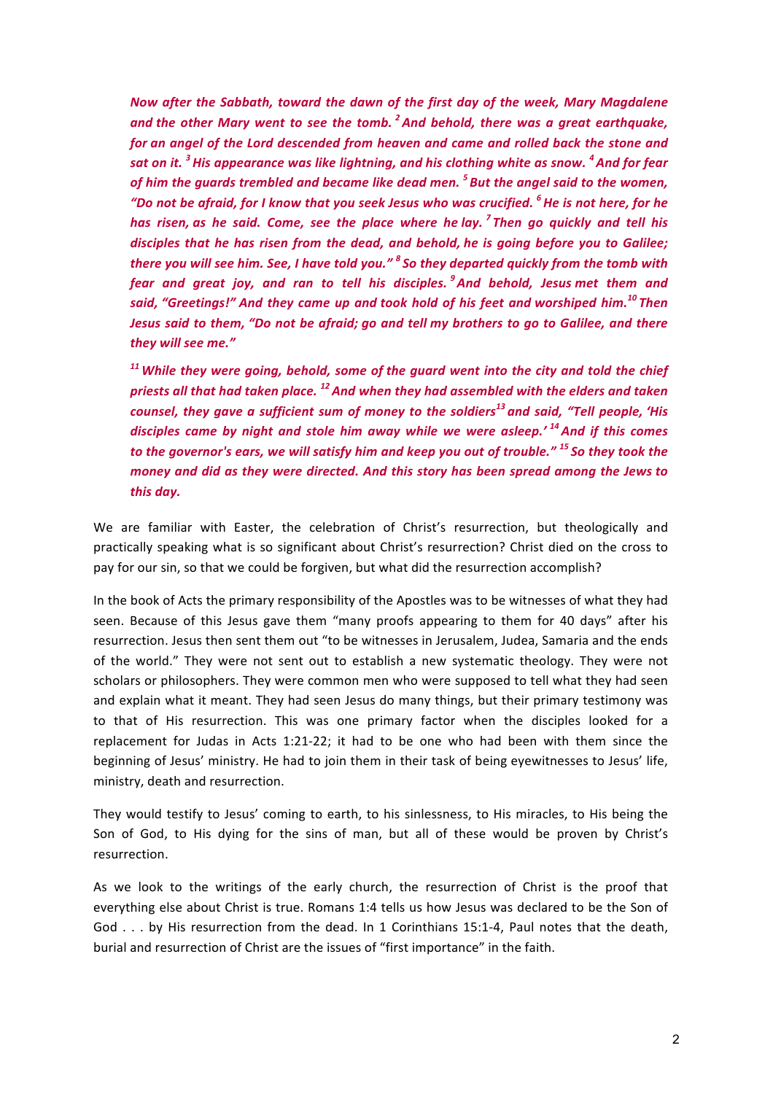*Now after the Sabbath, toward the dawn of the first day of the week, Mary Magdalene* and the other Mary went to see the tomb.<sup>2</sup> And behold, there was a great earthquake, *for* an angel of the Lord descended from heaven and came and rolled back the stone and *sat* on it.<sup>3</sup> His appearance was like lightning, and his clothing white as snow. <sup>4</sup> And for fear *of him the guards trembled and became like dead men.* <sup>5</sup> *But the angel said to the women,* "Do not be afraid, for I know that you seek Jesus who was crucified. <sup>6</sup> He is not here, for he *has* risen, as he said. Come, see the place where he lay.<sup>7</sup> Then go quickly and tell his *disciples that he has risen from the dead, and behold, he is going before you to Galilee; there you will see him. See, I have told you."* <sup>8</sup> So they departed quickly from the tomb with *fear* and great joy, and ran to tell his disciples. <sup>9</sup>And behold, Jesus met them and *said,* "Greetings!" And they came up and took hold of his feet and worshiped him.<sup>10</sup> Then *Jesus said to them, "Do not be afraid; go and tell my brothers to go to Galilee, and there they will see me."*

<sup>11</sup> While they were going, behold, some of the guard went into the city and told the chief *priests all that had taken place.* <sup>12</sup> And when they had assembled with the elders and taken *counsel, they gave a sufficient sum of money to the soldiers<sup>13</sup> and said, "Tell people, 'His*  disciples came by night and stole him away while we were asleep.<sup>' 14</sup>And if this comes *to* the governor's ears, we will satisfy him and keep you out of trouble." <sup>15</sup> So they took the *money and did as they were directed. And this story has been spread among the Jews to this day.*

We are familiar with Easter, the celebration of Christ's resurrection, but theologically and practically speaking what is so significant about Christ's resurrection? Christ died on the cross to pay for our sin, so that we could be forgiven, but what did the resurrection accomplish?

In the book of Acts the primary responsibility of the Apostles was to be witnesses of what they had seen. Because of this Jesus gave them "many proofs appearing to them for 40 days" after his resurrection. Jesus then sent them out "to be witnesses in Jerusalem, Judea, Samaria and the ends of the world." They were not sent out to establish a new systematic theology. They were not scholars or philosophers. They were common men who were supposed to tell what they had seen and explain what it meant. They had seen Jesus do many things, but their primary testimony was to that of His resurrection. This was one primary factor when the disciples looked for a replacement for Judas in Acts 1:21-22; it had to be one who had been with them since the beginning of Jesus' ministry. He had to join them in their task of being eyewitnesses to Jesus' life, ministry, death and resurrection.

They would testify to Jesus' coming to earth, to his sinlessness, to His miracles, to His being the Son of God, to His dying for the sins of man, but all of these would be proven by Christ's resurrection. 

As we look to the writings of the early church, the resurrection of Christ is the proof that everything else about Christ is true. Romans 1:4 tells us how Jesus was declared to be the Son of God . . . by His resurrection from the dead. In 1 Corinthians 15:1-4, Paul notes that the death, burial and resurrection of Christ are the issues of "first importance" in the faith.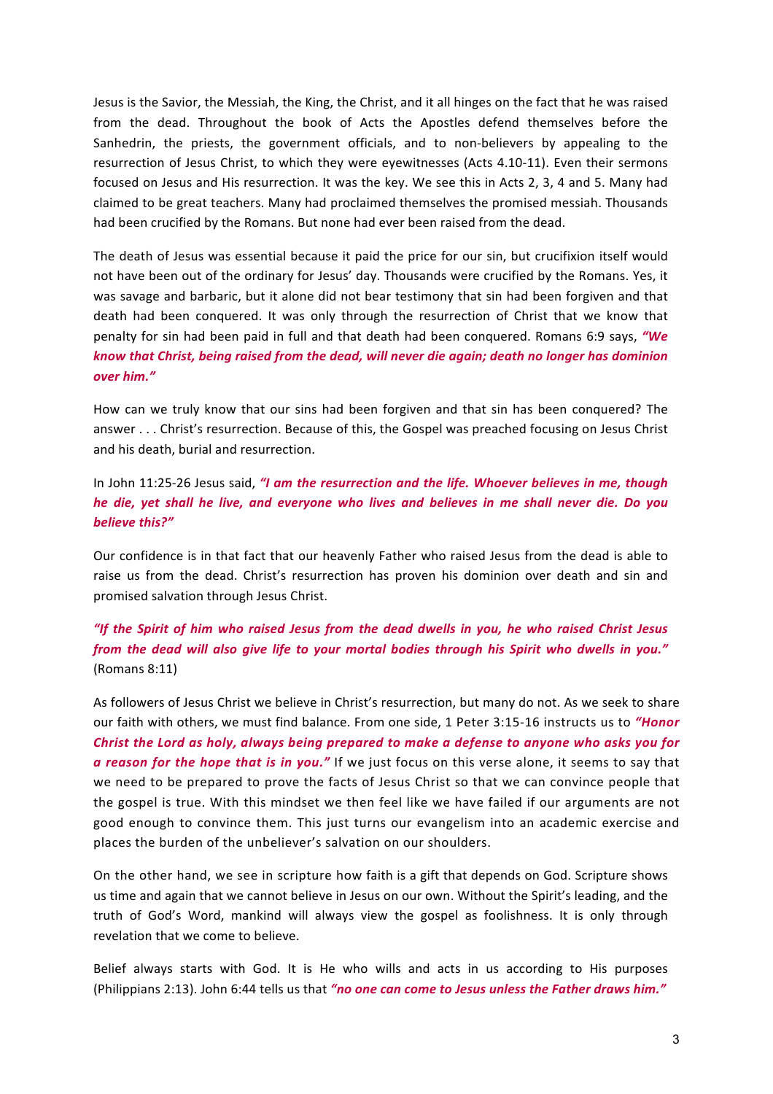Jesus is the Savior, the Messiah, the King, the Christ, and it all hinges on the fact that he was raised from the dead. Throughout the book of Acts the Apostles defend themselves before the Sanhedrin, the priests, the government officials, and to non-believers by appealing to the resurrection of Jesus Christ, to which they were eyewitnesses (Acts 4.10-11). Even their sermons focused on Jesus and His resurrection. It was the key. We see this in Acts 2, 3, 4 and 5. Many had claimed to be great teachers. Many had proclaimed themselves the promised messiah. Thousands had been crucified by the Romans. But none had ever been raised from the dead.

The death of Jesus was essential because it paid the price for our sin, but crucifixion itself would not have been out of the ordinary for Jesus' day. Thousands were crucified by the Romans. Yes, it was savage and barbaric, but it alone did not bear testimony that sin had been forgiven and that death had been conquered. It was only through the resurrection of Christ that we know that penalty for sin had been paid in full and that death had been conquered. Romans 6:9 says, "We *know that Christ, being raised from the dead, will never die again; death no longer has dominion over him."*

How can we truly know that our sins had been forgiven and that sin has been conquered? The answer . . . Christ's resurrection. Because of this, the Gospel was preached focusing on Jesus Christ and his death, burial and resurrection.

## In John 11:25-26 Jesus said, "I am the resurrection and the life. Whoever believes in me, though *he die, yet shall he live, and everyone who lives and believes in me shall never die. Do you believe this?"*

Our confidence is in that fact that our heavenly Father who raised Jesus from the dead is able to raise us from the dead. Christ's resurrection has proven his dominion over death and sin and promised salvation through Jesus Christ.

# *"If the Spirit of him who raised Jesus from the dead dwells in you, he who raised Christ Jesus* from the dead will also give life to your mortal bodies through his Spirit who dwells in you." (Romans 8:11)

As followers of Jesus Christ we believe in Christ's resurrection, but many do not. As we seek to share our faith with others, we must find balance. From one side, 1 Peter 3:15-16 instructs us to "Honor *Christ* the Lord as holy, always being prepared to make a defense to anyone who asks you for *a* reason for the hope that is in you." If we just focus on this verse alone, it seems to say that we need to be prepared to prove the facts of Jesus Christ so that we can convince people that the gospel is true. With this mindset we then feel like we have failed if our arguments are not good enough to convince them. This just turns our evangelism into an academic exercise and places the burden of the unbeliever's salvation on our shoulders.

On the other hand, we see in scripture how faith is a gift that depends on God. Scripture shows us time and again that we cannot believe in Jesus on our own. Without the Spirit's leading, and the truth of God's Word, mankind will always view the gospel as foolishness. It is only through revelation that we come to believe.

Belief always starts with God. It is He who wills and acts in us according to His purposes (Philippians 2:13). John 6:44 tells us that "no one can come to Jesus unless the Father draws him."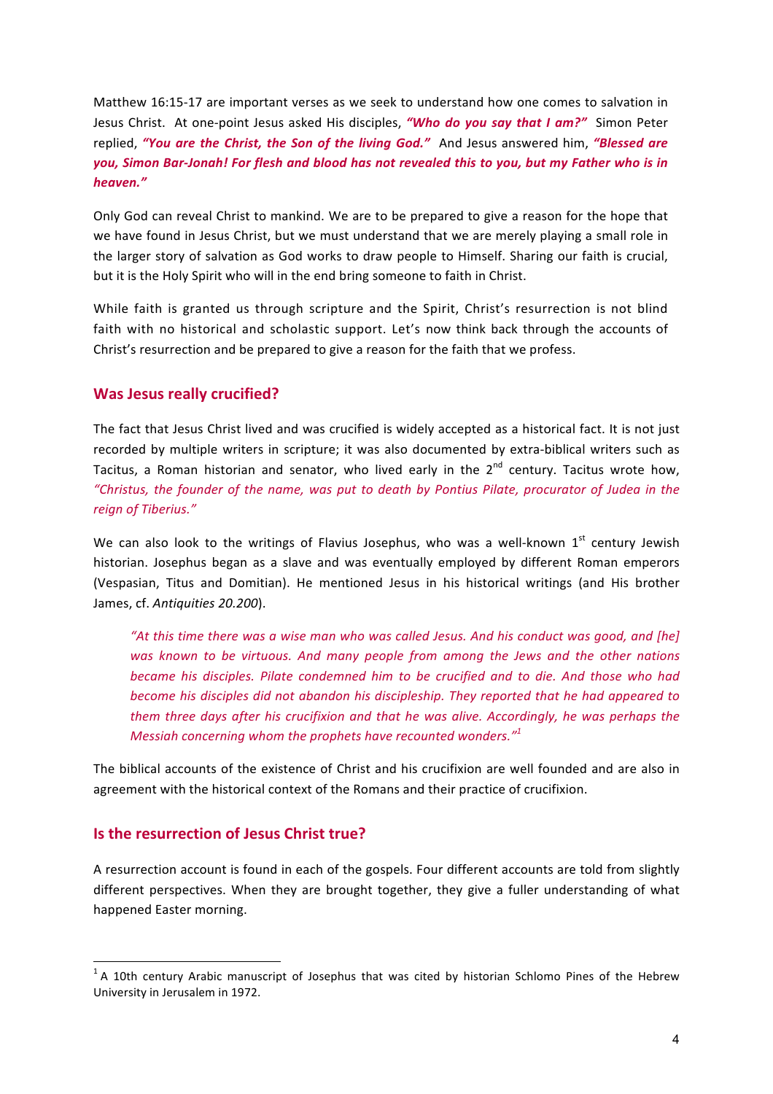Matthew 16:15-17 are important verses as we seek to understand how one comes to salvation in Jesus Christ. At one-point Jesus asked His disciples, "Who do you say that I am?" Simon Peter replied, "You are the Christ, the Son of the living God." And Jesus answered him, "Blessed are you, Simon Bar-Jonah! For flesh and blood has not revealed this to you, but my Father who is in *heaven."*

Only God can reveal Christ to mankind. We are to be prepared to give a reason for the hope that we have found in Jesus Christ, but we must understand that we are merely playing a small role in the larger story of salvation as God works to draw people to Himself. Sharing our faith is crucial, but it is the Holy Spirit who will in the end bring someone to faith in Christ.

While faith is granted us through scripture and the Spirit, Christ's resurrection is not blind faith with no historical and scholastic support. Let's now think back through the accounts of Christ's resurrection and be prepared to give a reason for the faith that we profess.

#### **Was Jesus really crucified?**

The fact that Jesus Christ lived and was crucified is widely accepted as a historical fact. It is not just recorded by multiple writers in scripture; it was also documented by extra-biblical writers such as Tacitus, a Roman historian and senator, who lived early in the  $2^{nd}$  century. Tacitus wrote how, *"Christus, the founder of the name, was put to death by Pontius Pilate, procurator of Judea in the reign of Tiberius."*

We can also look to the writings of Flavius Josephus, who was a well-known  $1<sup>st</sup>$  century Jewish historian. Josephus began as a slave and was eventually employed by different Roman emperors (Vespasian, Titus and Domitian). He mentioned Jesus in his historical writings (and His brother James, cf. Antiquities 20.200).

"At this time there was a wise man who was called Jesus. And his conduct was good, and [he] was known to be virtuous. And many people from among the Jews and the other nations *became his disciples. Pilate condemned him to be crucified and to die. And those who had become his disciples did not abandon his discipleship. They reported that he had appeared to them three days after his crucifixion and that he was alive. Accordingly, he was perhaps the Messiah concerning whom the prophets have recounted wonders.*"<sup>1</sup>

The biblical accounts of the existence of Christ and his crucifixion are well founded and are also in agreement with the historical context of the Romans and their practice of crucifixion.

#### **Is the resurrection of Jesus Christ true?**

A resurrection account is found in each of the gospels. Four different accounts are told from slightly different perspectives. When they are brought together, they give a fuller understanding of what happened Easter morning.

 $1$  A 10th century Arabic manuscript of Josephus that was cited by historian Schlomo Pines of the Hebrew University in Jerusalem in 1972.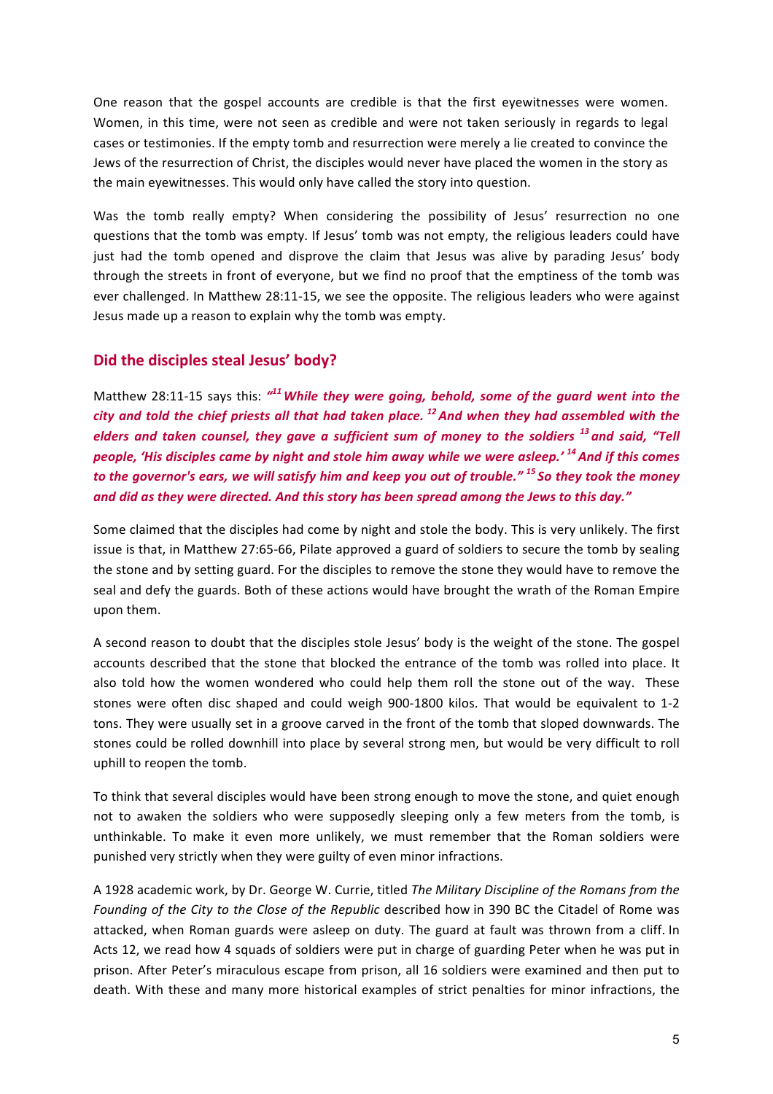One reason that the gospel accounts are credible is that the first eyewitnesses were women. Women, in this time, were not seen as credible and were not taken seriously in regards to legal cases or testimonies. If the empty tomb and resurrection were merely a lie created to convince the Jews of the resurrection of Christ, the disciples would never have placed the women in the story as the main eyewitnesses. This would only have called the story into question.

Was the tomb really empty? When considering the possibility of Jesus' resurrection no one questions that the tomb was empty. If Jesus' tomb was not empty, the religious leaders could have just had the tomb opened and disprove the claim that Jesus was alive by parading Jesus' body through the streets in front of everyone, but we find no proof that the emptiness of the tomb was ever challenged. In Matthew 28:11-15, we see the opposite. The religious leaders who were against Jesus made up a reason to explain why the tomb was empty.

## **Did the disciples steal Jesus' body?**

Matthew 28:11-15 says this:  $''^{11}$  While they were going, behold, some of the guard went into the *city* and told the chief priests all that had taken place. <sup>12</sup> And when they had assembled with the *elders* and taken counsel, they gave a sufficient sum of money to the soldiers <sup>13</sup> and said, "Tell *people, 'His disciples came by night and stole him away while we were asleep.'* <sup>14</sup> And if this comes *to* the governor's ears, we will satisfy him and keep you out of trouble." <sup>15</sup> So they took the money and did as they were directed. And this story has been spread among the Jews to this day."

Some claimed that the disciples had come by night and stole the body. This is very unlikely. The first issue is that, in Matthew 27:65-66, Pilate approved a guard of soldiers to secure the tomb by sealing the stone and by setting guard. For the disciples to remove the stone they would have to remove the seal and defy the guards. Both of these actions would have brought the wrath of the Roman Empire upon them.

A second reason to doubt that the disciples stole Jesus' body is the weight of the stone. The gospel accounts described that the stone that blocked the entrance of the tomb was rolled into place. It also told how the women wondered who could help them roll the stone out of the way. These stones were often disc shaped and could weigh 900-1800 kilos. That would be equivalent to 1-2 tons. They were usually set in a groove carved in the front of the tomb that sloped downwards. The stones could be rolled downhill into place by several strong men, but would be very difficult to roll uphill to reopen the tomb.

To think that several disciples would have been strong enough to move the stone, and quiet enough not to awaken the soldiers who were supposedly sleeping only a few meters from the tomb, is unthinkable. To make it even more unlikely, we must remember that the Roman soldiers were punished very strictly when they were guilty of even minor infractions.

A 1928 academic work, by Dr. George W. Currie, titled *The Military Discipline of the Romans from the Founding of the City to the Close of the Republic* described how in 390 BC the Citadel of Rome was attacked, when Roman guards were asleep on duty. The guard at fault was thrown from a cliff. In Acts 12, we read how 4 squads of soldiers were put in charge of guarding Peter when he was put in prison. After Peter's miraculous escape from prison, all 16 soldiers were examined and then put to death. With these and many more historical examples of strict penalties for minor infractions, the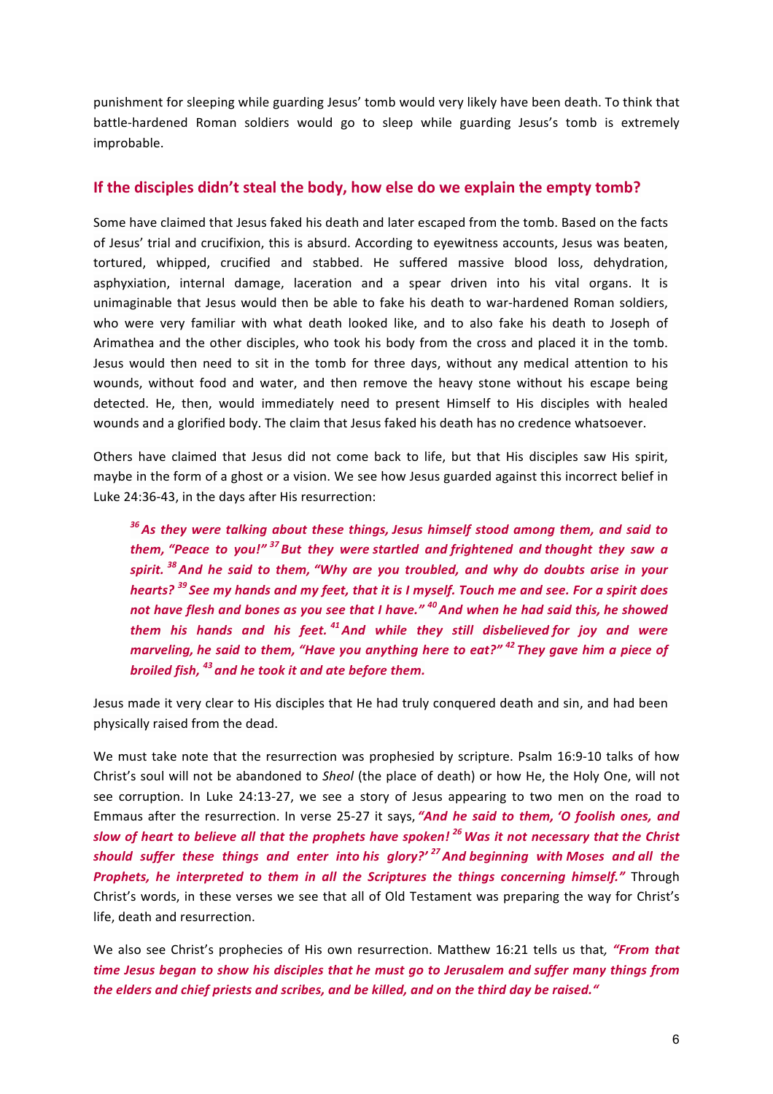punishment for sleeping while guarding Jesus' tomb would very likely have been death. To think that battle-hardened Roman soldiers would go to sleep while guarding Jesus's tomb is extremely improbable.

### If the disciples didn't steal the body, how else do we explain the empty tomb?

Some have claimed that Jesus faked his death and later escaped from the tomb. Based on the facts of Jesus' trial and crucifixion, this is absurd. According to eyewitness accounts, Jesus was beaten, tortured, whipped, crucified and stabbed. He suffered massive blood loss, dehydration, asphyxiation, internal damage, laceration and a spear driven into his vital organs. It is unimaginable that Jesus would then be able to fake his death to war-hardened Roman soldiers, who were very familiar with what death looked like, and to also fake his death to Joseph of Arimathea and the other disciples, who took his body from the cross and placed it in the tomb. Jesus would then need to sit in the tomb for three days, without any medical attention to his wounds, without food and water, and then remove the heavy stone without his escape being detected. He, then, would immediately need to present Himself to His disciples with healed wounds and a glorified body. The claim that Jesus faked his death has no credence whatsoever.

Others have claimed that Jesus did not come back to life, but that His disciples saw His spirit, maybe in the form of a ghost or a vision. We see how Jesus guarded against this incorrect belief in Luke 24:36-43, in the days after His resurrection:

<sup>36</sup> As they were talking about these things, Jesus himself stood among them, and said to *them, "Peace to you!"* <sup>37</sup> But they were startled and frightened and thought they saw a spirit.<sup>38</sup> And he said to them, "Why are you troubled, and why do doubts arise in your *hearts?* <sup>39</sup> See my hands and my feet, that it is I myself. Touch me and see. For a spirit does not have flesh and bones as you see that I have." <sup>40</sup> And when he had said this, he showed *them* his hands and his feet.<sup>41</sup>And while they still disbelieved for joy and were *marveling, he said to them, "Have you anything here to eat?"* <sup>42</sup> *They gave him a piece of broiled fish, <sup>43</sup> and he took it and ate before them.*

Jesus made it very clear to His disciples that He had truly conquered death and sin, and had been physically raised from the dead.

We must take note that the resurrection was prophesied by scripture. Psalm 16:9-10 talks of how Christ's soul will not be abandoned to *Sheol* (the place of death) or how He, the Holy One, will not see corruption. In Luke 24:13-27, we see a story of Jesus appearing to two men on the road to Emmaus after the resurrection. In verse 25-27 it says, "And he said to them, 'O foolish ones, and *slow* of heart to believe all that the prophets have spoken!<sup>26</sup> Was it not necessary that the Christ *should suffer these things and enter into his glory?'* <sup>27</sup> And beginning with Moses and all the **Prophets, he interpreted to them in all the Scriptures the things concerning himself."** Through Christ's words, in these verses we see that all of Old Testament was preparing the way for Christ's life, death and resurrection.

We also see Christ's prophecies of His own resurrection. Matthew 16:21 tells us that, "From that *time Jesus began to show his disciples that he must go to Jerusalem and suffer many things from* the elders and chief priests and scribes, and be killed, and on the third day be raised."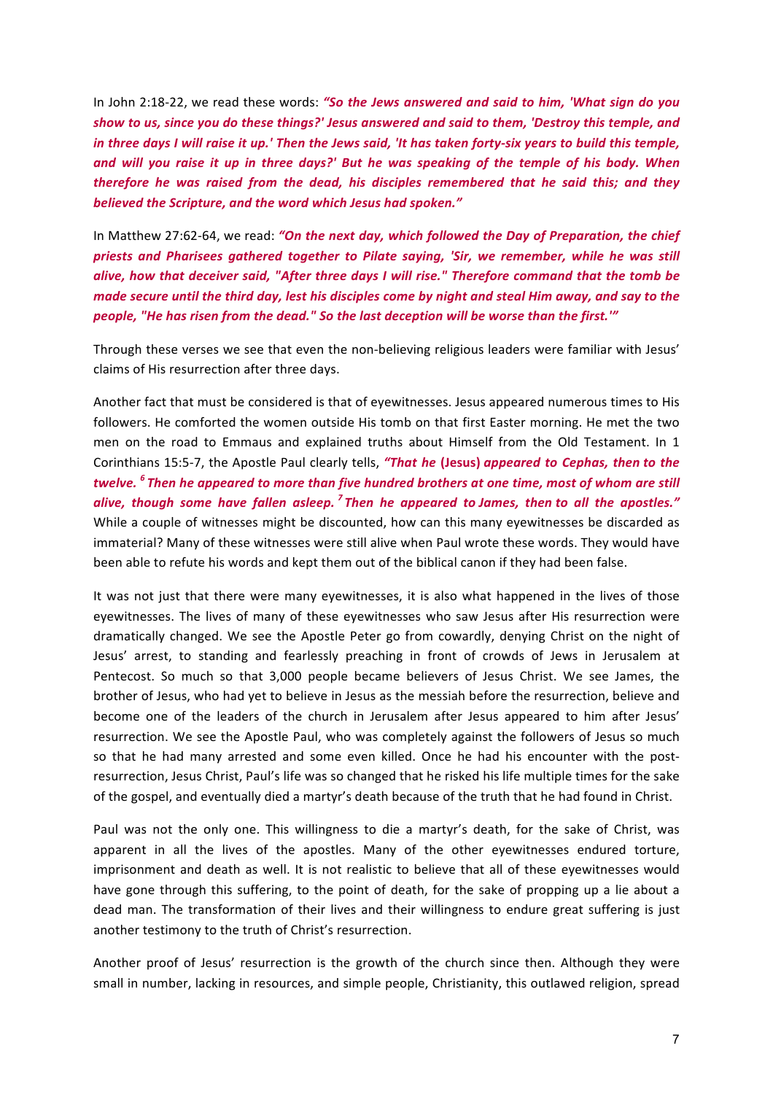In John 2:18-22, we read these words: "So the Jews answered and said to him, 'What sign do you show to us, since you do these things?' Jesus answered and said to them, 'Destroy this temple, and *in* three days I will raise it up.' Then the Jews said, 'It has taken forty-six years to build this temple, and will you raise it up in three days?' But he was speaking of the temple of his body. When *therefore he was raised from the dead, his disciples remembered that he said this; and they believed the Scripture, and the word which Jesus had spoken."* 

In Matthew 27:62-64, we read: "On the next day, which followed the Day of Preparation, the chief *priests and Pharisees gathered together to Pilate saying, 'Sir, we remember, while he was still* alive, how that deceiver said, "After three days I will rise." Therefore command that the tomb be *made secure until the third day, lest his disciples come by night and steal Him away, and say to the* people, "He has risen from the dead." So the last deception will be worse than the first.""

Through these verses we see that even the non-believing religious leaders were familiar with Jesus' claims of His resurrection after three days.

Another fact that must be considered is that of eyewitnesses. Jesus appeared numerous times to His followers. He comforted the women outside His tomb on that first Easter morning. He met the two men on the road to Emmaus and explained truths about Himself from the Old Testament. In 1 Corinthians 15:5-7, the Apostle Paul clearly tells, "That he (Jesus) appeared to Cephas, then to the *twelve.* <sup>6</sup> Then he appeared to more than five hundred brothers at one time, most of whom are still *alive, though some have fallen asleep. <sup>7</sup> Then he appeared to James, then to all the apostles."* While a couple of witnesses might be discounted, how can this many eyewitnesses be discarded as immaterial? Many of these witnesses were still alive when Paul wrote these words. They would have been able to refute his words and kept them out of the biblical canon if they had been false.

It was not just that there were many eyewitnesses, it is also what happened in the lives of those eyewitnesses. The lives of many of these eyewitnesses who saw Jesus after His resurrection were dramatically changed. We see the Apostle Peter go from cowardly, denying Christ on the night of Jesus' arrest, to standing and fearlessly preaching in front of crowds of Jews in Jerusalem at Pentecost. So much so that 3,000 people became believers of Jesus Christ. We see James, the brother of Jesus, who had yet to believe in Jesus as the messiah before the resurrection, believe and become one of the leaders of the church in Jerusalem after Jesus appeared to him after Jesus' resurrection. We see the Apostle Paul, who was completely against the followers of Jesus so much so that he had many arrested and some even killed. Once he had his encounter with the postresurrection, Jesus Christ, Paul's life was so changed that he risked his life multiple times for the sake of the gospel, and eventually died a martyr's death because of the truth that he had found in Christ.

Paul was not the only one. This willingness to die a martyr's death, for the sake of Christ, was apparent in all the lives of the apostles. Many of the other eyewitnesses endured torture, imprisonment and death as well. It is not realistic to believe that all of these eyewitnesses would have gone through this suffering, to the point of death, for the sake of propping up a lie about a dead man. The transformation of their lives and their willingness to endure great suffering is just another testimony to the truth of Christ's resurrection.

Another proof of Jesus' resurrection is the growth of the church since then. Although they were small in number, lacking in resources, and simple people, Christianity, this outlawed religion, spread